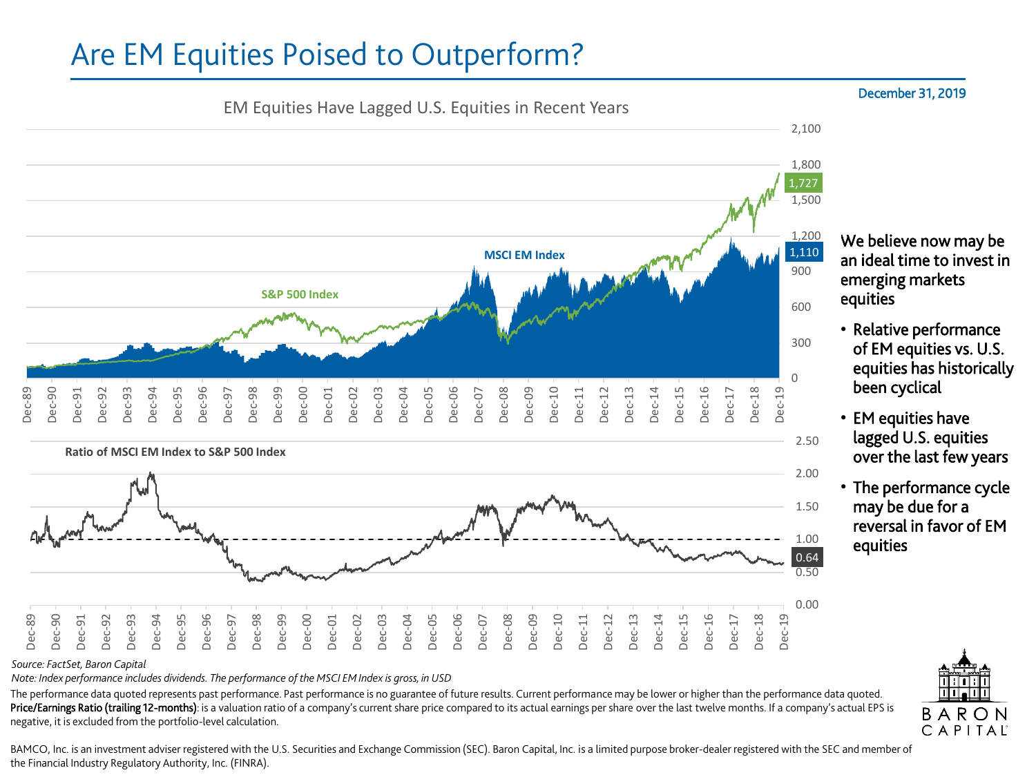# Are EM Equities Poised to Outperform?



*Source: FactSet, Baron Capital*

*Note: Index performance includes dividends. The performance of the MSCI EM Index is gross, in USD*

The performance data quoted represents past performance. Past performance is no guarantee of future results. Current performance may be lower or higher than the performance data quoted. Price/Earnings Ratio (trailing 12-months): is a valuation ratio of a company's current share price compared to its actual earnings per share over the last twelve months. If a company's actual EPS is negative, it is excluded from the portfolio-level calculation.

#### BAMCO, Inc. is an investment adviser registered with the U.S. Securities and Exchange Commission (SEC). Baron Capital, Inc. is a limited purpose broker-dealer registered with the SEC and member of the Financial Industry Regulatory Authority, Inc. (FINRA).

### December 31, 2019

We believe now may be an ideal time to invest in emerging markets equities

- Relative performance of EM equities vs. U.S. equities has historically been cyclical
- EM equities have lagged U.S. equities over the last few years
- The performance cycle may be due for a reversal in favor of EM equities